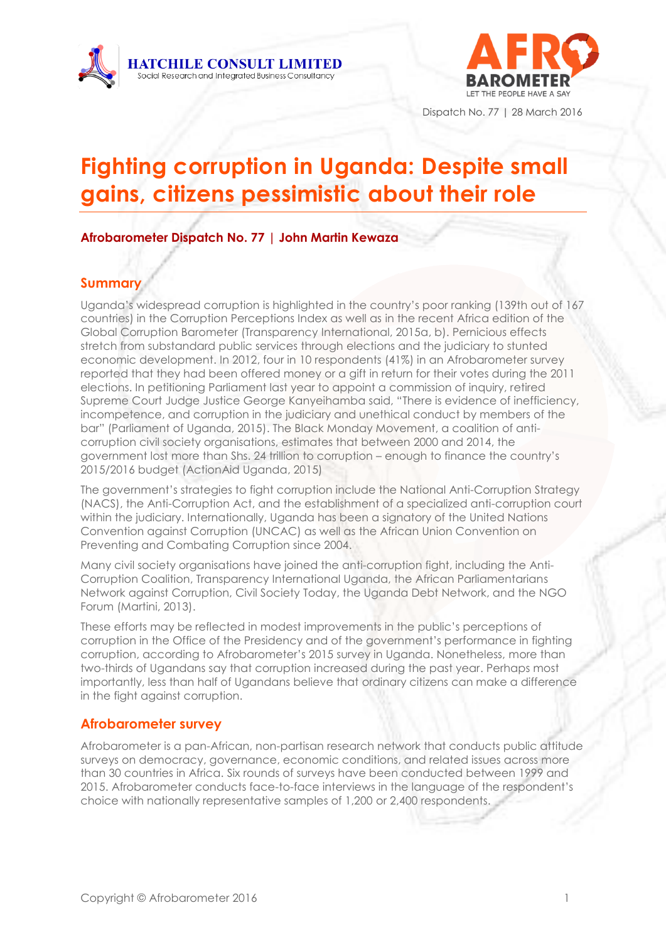



Dispatch No. 77 | 28 March 2016

# **Fighting corruption in Uganda: Despite small gains, citizens pessimistic about their role**

**Afrobarometer Dispatch No. 77 | John Martin Kewaza** 

## **Summary**

Uganda's widespread corruption is highlighted in the country's poor ranking (139th out of 167 countries) in the Corruption Perceptions Index as well as in the recent Africa edition of the Global Corruption Barometer (Transparency International, 2015a, b). Pernicious effects stretch from substandard public services through elections and the judiciary to stunted economic development. In 2012, four in 10 respondents (41%) in an Afrobarometer survey reported that they had been offered money or a gift in return for their votes during the 2011 elections. In petitioning Parliament last year to appoint a commission of inquiry, retired Supreme Court Judge Justice George Kanyeihamba said, "There is evidence of inefficiency, incompetence, and corruption in the judiciary and unethical conduct by members of the bar" (Parliament of Uganda, 2015). The Black Monday Movement, a coalition of anticorruption civil society organisations, estimates that between 2000 and 2014, the government lost more than Shs. 24 trillion to corruption – enough to finance the country's 2015/2016 budget (ActionAid Uganda, 2015)

The government's strategies to fight corruption include the National Anti-Corruption Strategy (NACS), the Anti-Corruption Act, and the establishment of a specialized anti-corruption court within the judiciary. Internationally, Uganda has been a signatory of the United Nations Convention against Corruption (UNCAC) as well as the African Union Convention on Preventing and Combating Corruption since 2004.

Many civil society organisations have joined the anti-corruption fight, including the Anti-Corruption Coalition, Transparency International Uganda, the African Parliamentarians Network against Corruption, Civil Society Today, the Uganda Debt Network, and the NGO Forum (Martini, 2013).

These efforts may be reflected in modest improvements in the public's perceptions of corruption in the Office of the Presidency and of the government's performance in fighting corruption, according to Afrobarometer's 2015 survey in Uganda. Nonetheless, more than two-thirds of Ugandans say that corruption increased during the past year. Perhaps most importantly, less than half of Ugandans believe that ordinary citizens can make a difference in the fight against corruption.

## **Afrobarometer survey**

Afrobarometer is a pan-African, non-partisan research network that conducts public attitude surveys on democracy, governance, economic conditions, and related issues across more than 30 countries in Africa. Six rounds of surveys have been conducted between 1999 and 2015. Afrobarometer conducts face-to-face interviews in the language of the respondent's choice with nationally representative samples of 1,200 or 2,400 respondents.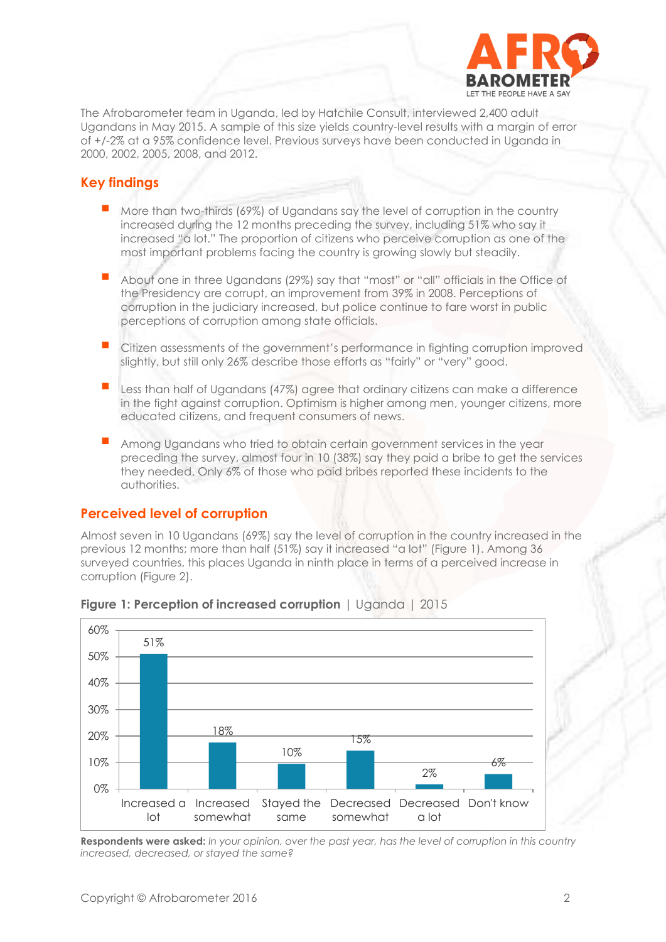

The Afrobarometer team in Uganda, led by Hatchile Consult, interviewed 2,400 adult Ugandans in May 2015. A sample of this size yields country-level results with a margin of error of +/-2% at a 95% confidence level. Previous surveys have been conducted in Uganda in 2000, 2002, 2005, 2008, and 2012.

#### **Key findings**

- More than two-thirds (69%) of Ugandans say the level of corruption in the country increased during the 12 months preceding the survey, including 51% who say it increased "a lot." The proportion of citizens who perceive corruption as one of the most important problems facing the country is growing slowly but steadily.
- About one in three Ugandans (29%) say that "most" or "all" officials in the Office of the Presidency are corrupt, an improvement from 39% in 2008. Perceptions of corruption in the judiciary increased, but police continue to fare worst in public perceptions of corruption among state officials.
- Citizen assessments of the government's performance in fighting corruption improved slightly, but still only 26% describe those efforts as "fairly" or "very" good.
- Less than half of Ugandans (47%) agree that ordinary citizens can make a difference in the fight against corruption. Optimism is higher among men, younger citizens, more educated citizens, and frequent consumers of news.
- Among Ugandans who tried to obtain certain government services in the year preceding the survey, almost four in 10 (38%) say they paid a bribe to get the services they needed. Only 6% of those who paid bribes reported these incidents to the authorities.

#### **Perceived level of corruption**

Almost seven in 10 Ugandans (69%) say the level of corruption in the country increased in the previous 12 months; more than half (51%) say it increased "a lot" (Figure 1). Among 36 surveyed countries, this places Uganda in ninth place in terms of a perceived increase in corruption (Figure 2).



#### **Figure 1: Perception of increased corruption** | Uganda | 2015

**Respondents were asked:** *In your opinion, over the past year, has the level of corruption in this country increased, decreased, or stayed the same?*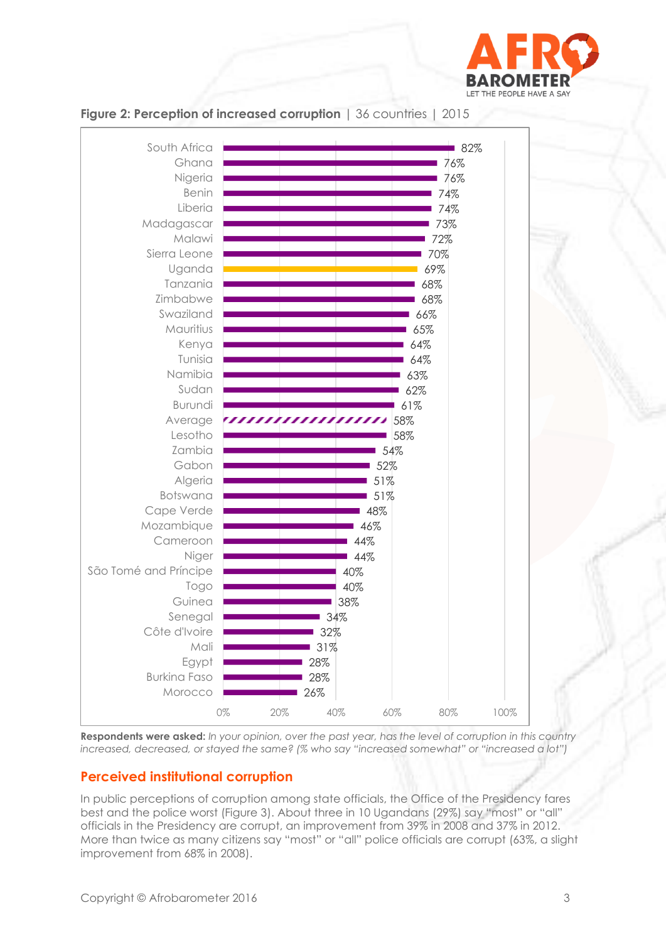



#### **Figure 2: Perception of increased corruption** | 36 countries | 2015

**Respondents were asked:** *In your opinion, over the past year, has the level of corruption in this country increased, decreased, or stayed the same? (% who say "increased somewhat" or "increased a lot")*

# **Perceived institutional corruption**

In public perceptions of corruption among state officials, the Office of the Presidency fares best and the police worst (Figure 3). About three in 10 Ugandans (29%) say "most" or "all" officials in the Presidency are corrupt, an improvement from 39% in 2008 and 37% in 2012. More than twice as many citizens say "most" or "all" police officials are corrupt (63%, a slight improvement from 68% in 2008).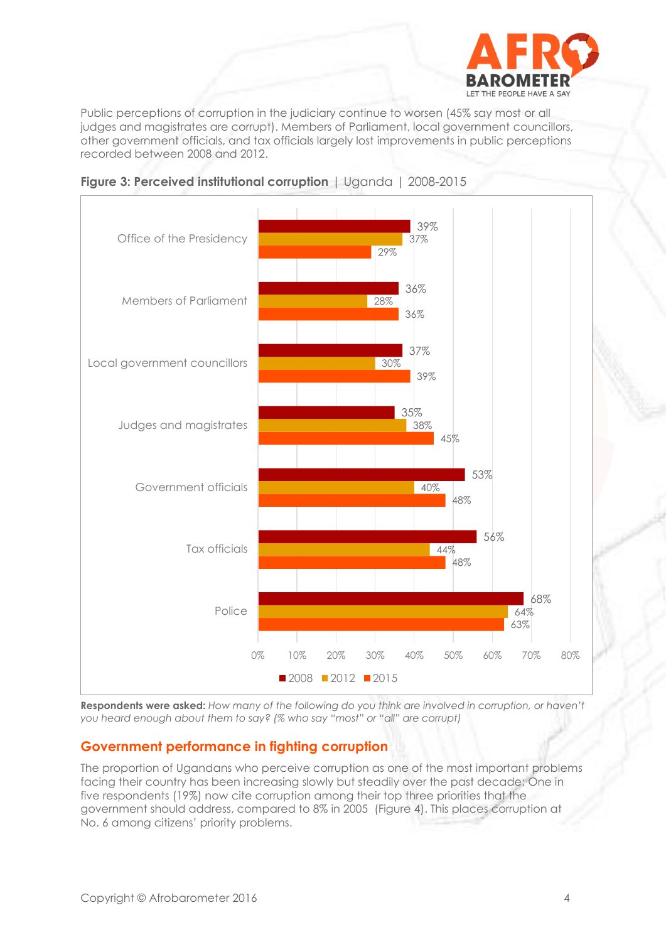

Public perceptions of corruption in the judiciary continue to worsen (45% say most or all judges and magistrates are corrupt). Members of Parliament, local government councillors, other government officials, and tax officials largely lost improvements in public perceptions recorded between 2008 and 2012.





**Respondents were asked:** *How many of the following do you think are involved in corruption, or haven't you heard enough about them to say? (% who say "most" or "all" are corrupt)*

## **Government performance in fighting corruption**

The proportion of Ugandans who perceive corruption as one of the most important problems facing their country has been increasing slowly but steadily over the past decade: One in five respondents (19%) now cite corruption among their top three priorities that the government should address, compared to 8% in 2005 (Figure 4). This places corruption at No. 6 among citizens' priority problems.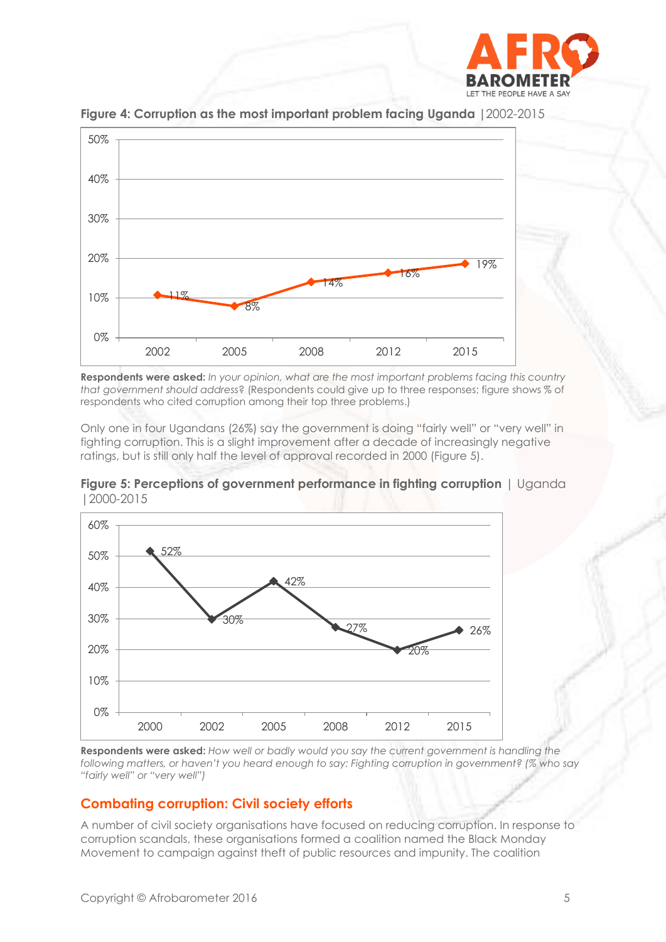



**Figure 4: Corruption as the most important problem facing Uganda |**2002-2015

**Respondents were asked:** *In your opinion, what are the most important problems facing this country that government should address*? (Respondents could give up to three responses; figure shows % of respondents who cited corruption among their top three problems.)

Only one in four Ugandans (26%) say the government is doing "fairly well" or "very well" in fighting corruption. This is a slight improvement after a decade of increasingly negative ratings, but is still only half the level of approval recorded in 2000 (Figure 5).

**Figure 5: Perceptions of government performance in fighting corruption** | Uganda |2000-2015



**Respondents were asked:** *How well or badly would you say the current government is handling the following matters, or haven't you heard enough to say: Fighting corruption in government? (% who say "fairly well" or "very well")*

#### **Combating corruption: Civil society efforts**

A number of civil society organisations have focused on reducing corruption. In response to corruption scandals, these organisations formed a coalition named the Black Monday Movement to campaign against theft of public resources and impunity. The coalition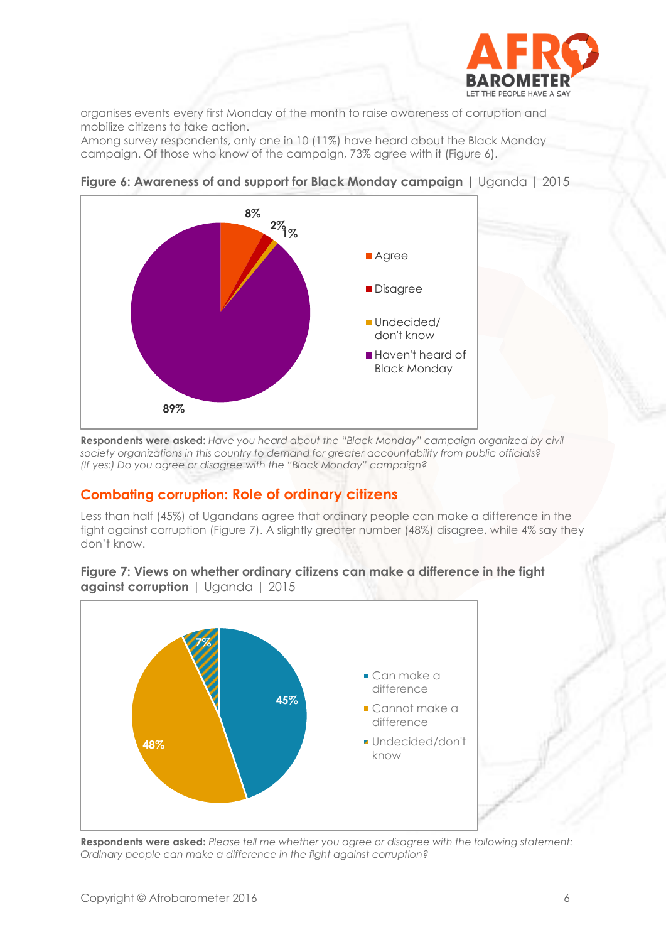

organises events every first Monday of the month to raise awareness of corruption and mobilize citizens to take action.

Among survey respondents, only one in 10 (11%) have heard about the Black Monday campaign. Of those who know of the campaign, 73% agree with it (Figure 6).



**Figure 6: Awareness of and support for Black Monday campaign** | Uganda | 2015

**Respondents were asked:** *Have you heard about the "Black Monday" campaign organized by civil society organizations in this country to demand for greater accountability from public officials? (If yes:) Do you agree or disagree with the "Black Monday" campaign?*

## **Combating corruption: Role of ordinary citizens**

Less than half (45%) of Ugandans agree that ordinary people can make a difference in the fight against corruption (Figure 7). A slightly greater number (48%) disagree, while 4% say they don't know.

#### **Figure 7: Views on whether ordinary citizens can make a difference in the fight against corruption** | Uganda | 2015



**Respondents were asked:** *Please tell me whether you agree or disagree with the following statement: Ordinary people can make a difference in the fight against corruption?*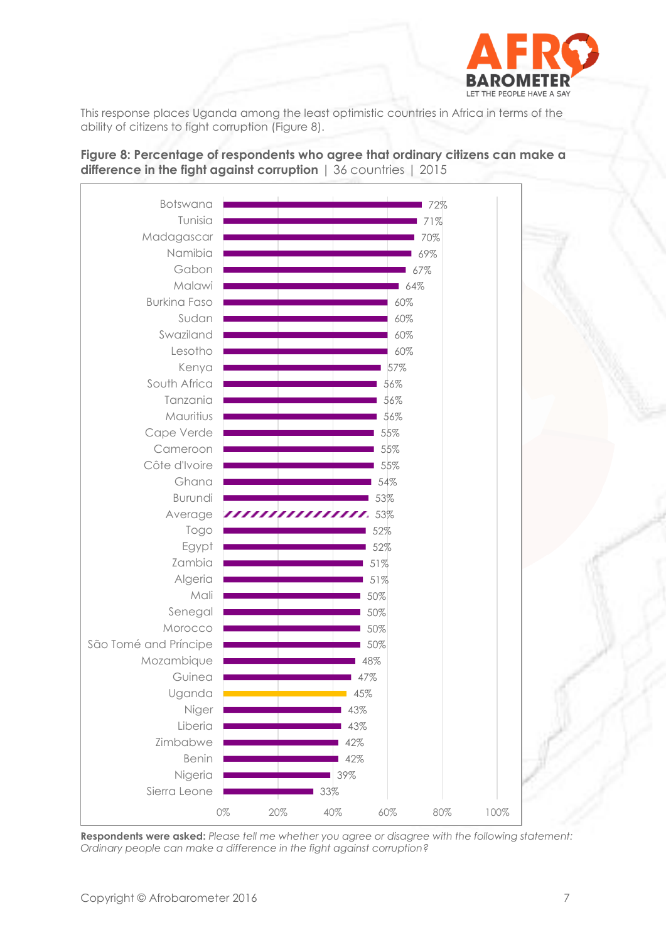

This response places Uganda among the least optimistic countries in Africa in terms of the ability of citizens to fight corruption (Figure 8).

**Figure 8: Percentage of respondents who agree that ordinary citizens can make a difference in the fight against corruption** | 36 countries | 2015



**Respondents were asked:** *Please tell me whether you agree or disagree with the following statement: Ordinary people can make a difference in the fight against corruption?*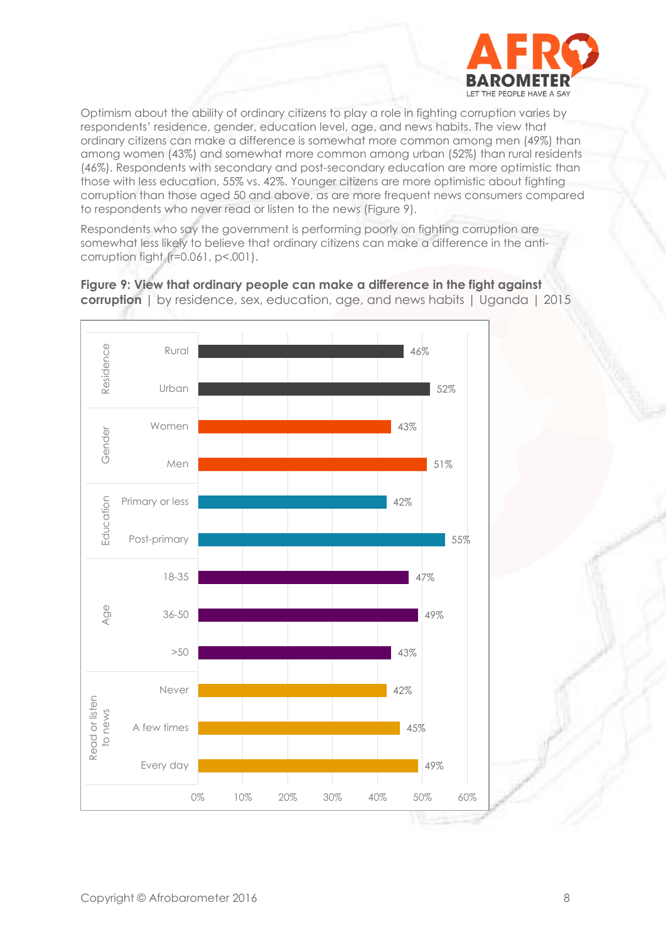

Optimism about the ability of ordinary citizens to play a role in fighting corruption varies by respondents' residence, gender, education level, age, and news habits. The view that ordinary citizens can make a difference is somewhat more common among men (49%) than among women (43%) and somewhat more common among urban (52%) than rural residents (46%). Respondents with secondary and post-secondary education are more optimistic than those with less education, 55% vs. 42%. Younger citizens are more optimistic about fighting corruption than those aged 50 and above, as are more frequent news consumers compared to respondents who never read or listen to the news (Figure 9).

Respondents who say the government is performing poorly on fighting corruption are somewhat less likely to believe that ordinary citizens can make a difference in the anticorruption fight (r=0.061, p<.001).



**Figure 9: View that ordinary people can make a difference in the fight against corruption** | by residence, sex, education, age, and news habits | Uganda | 2015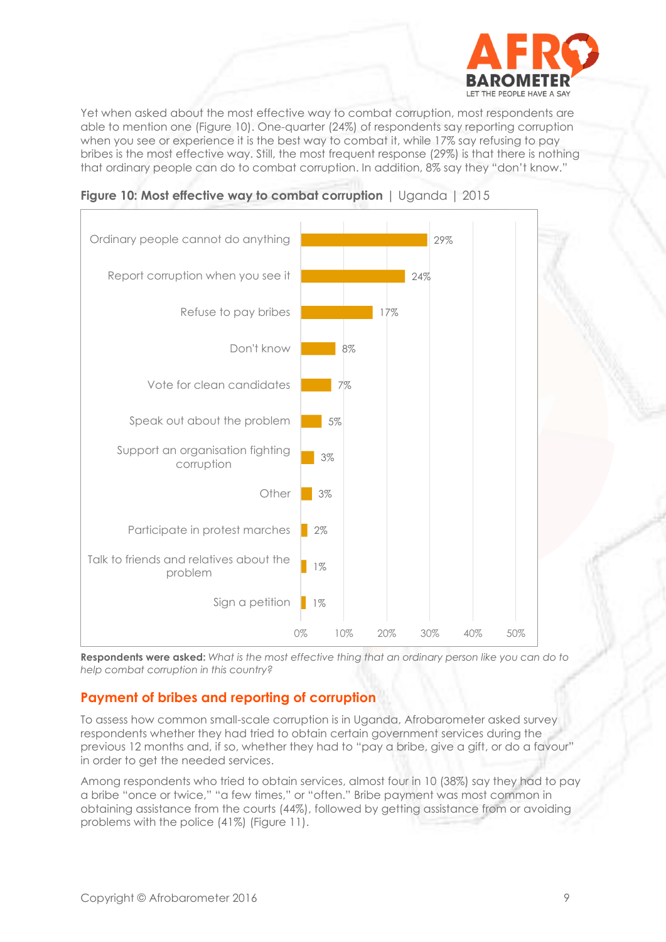

Yet when asked about the most effective way to combat corruption, most respondents are able to mention one (Figure 10). One-quarter (24%) of respondents say reporting corruption when you see or experience it is the best way to combat it, while 17% say refusing to pay bribes is the most effective way. Still, the most frequent response (29%) is that there is nothing that ordinary people can do to combat corruption. In addition, 8% say they "don't know."





**Respondents were asked:** *What is the most effective thing that an ordinary person like you can do to help combat corruption in this country?*

## **Payment of bribes and reporting of corruption**

To assess how common small-scale corruption is in Uganda, Afrobarometer asked survey respondents whether they had tried to obtain certain government services during the previous 12 months and, if so, whether they had to "pay a bribe, give a gift, or do a favour" in order to get the needed services.

Among respondents who tried to obtain services, almost four in 10 (38%) say they had to pay a bribe "once or twice," "a few times," or "often." Bribe payment was most common in obtaining assistance from the courts (44%), followed by getting assistance from or avoiding problems with the police (41%) (Figure 11).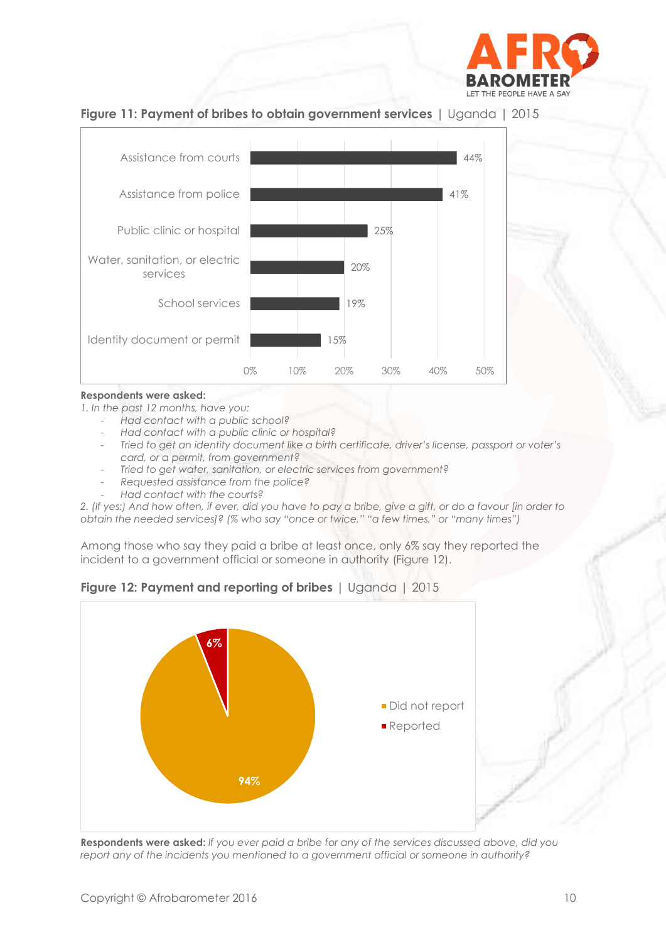





#### **Respondents were asked:**

*1. In the past 12 months, have you:*

- *Had contact with a public school?*
- *Had contact with a public clinic or hospital?*
- *Tried to get an identity document like a birth certificate, driver's license, passport or voter's card, or a permit, from government?*
- *Tried to get water, sanitation, or electric services from government?*
- *Requested assistance from the police?*
- *Had contact with the courts?*

*2. (If yes:) And how often, if ever, did you have to pay a bribe, give a gift, or do a favour [in order to obtain the needed services]? (% who say "once or twice," "a few times," or "many times")*

Among those who say they paid a bribe at least once, only 6% say they reported the incident to a government official or someone in authority (Figure 12).



**Figure 12: Payment and reporting of bribes** | Uganda | 2015

**Respondents were asked:** *If you ever paid a bribe for any of the services discussed above, did you report any of the incidents you mentioned to a government official or someone in authority?*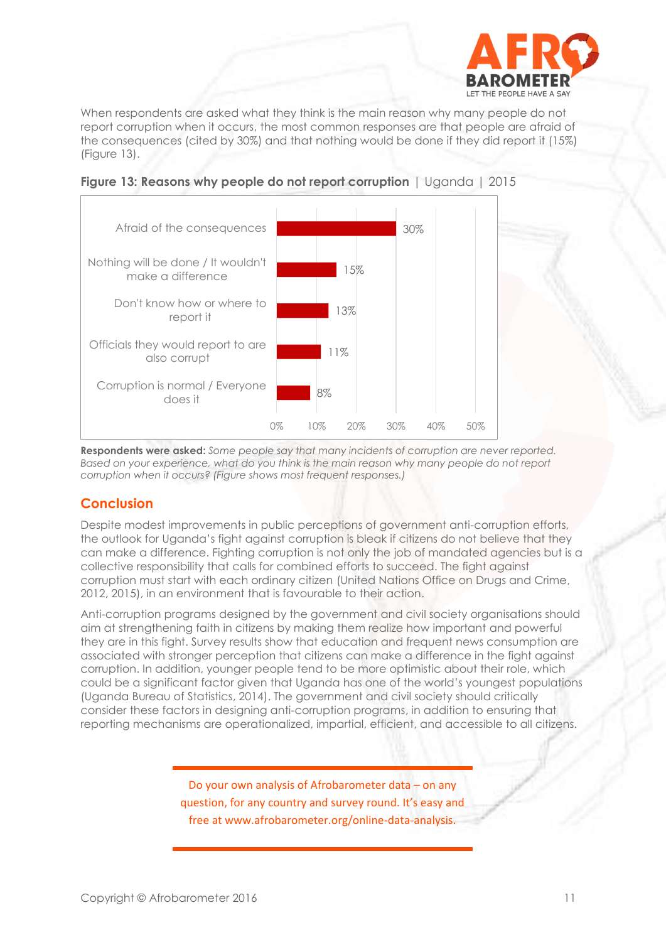

When respondents are asked what they think is the main reason why many people do not report corruption when it occurs, the most common responses are that people are afraid of the consequences (cited by 30%) and that nothing would be done if they did report it (15%) (Figure 13).



**Figure 13: Reasons why people do not report corruption** | Uganda | 2015

**Respondents were asked:** *Some people say that many incidents of corruption are never reported. Based on your experience, what do you think is the main reason why many people do not report corruption when it occurs? (Figure shows most frequent responses.)*

# **Conclusion**

Despite modest improvements in public perceptions of government anti-corruption efforts, the outlook for Uganda's fight against corruption is bleak if citizens do not believe that they can make a difference. Fighting corruption is not only the job of mandated agencies but is a collective responsibility that calls for combined efforts to succeed. The fight against corruption must start with each ordinary citizen (United Nations Office on Drugs and Crime, 2012, 2015), in an environment that is favourable to their action.

Anti-corruption programs designed by the government and civil society organisations should aim at strengthening faith in citizens by making them realize how important and powerful they are in this fight. Survey results show that education and frequent news consumption are associated with stronger perception that citizens can make a difference in the fight against corruption. In addition, younger people tend to be more optimistic about their role, which could be a significant factor given that Uganda has one of the world's youngest populations (Uganda Bureau of Statistics, 2014). The government and civil society should critically consider these factors in designing anti-corruption programs, in addition to ensuring that reporting mechanisms are operationalized, impartial, efficient, and accessible to all citizens.

> Do your own analysis of Afrobarometer data – on any question, for any country and survey round. It's easy and free at www.afrobarometer.org/online-data-analysis.